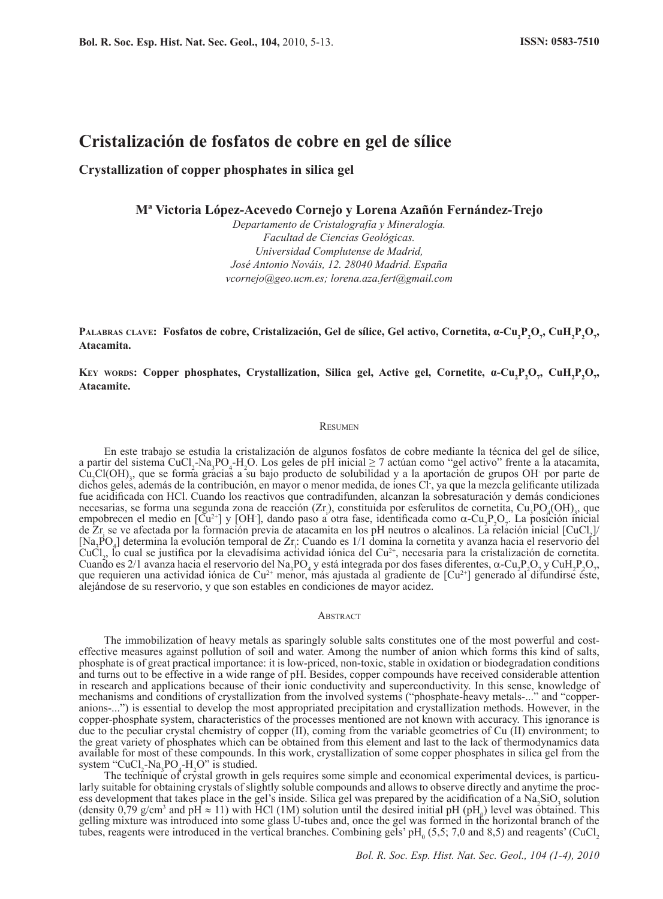# **Cristalización de fosfatos de cobre en gel de sílice**

## **Crystallization of copper phosphates in silica gel**

**Mª Victoria López-Acevedo Cornejo y Lorena Azañón Fernández-Trejo**

*Departamento de Cristalografía y Mineralogía. Facultad de Ciencias Geológicas. Universidad Complutense de Madrid, José Antonio Nováis, 12. 28040 Madrid. España vcornejo@geo.ucm.es; lorena.aza.fert@gmail.com*

**PALABRAS CLAVE:** Fosfatos de cobre, Cristalización, Gel de sílice, Gel activo, Cornetita, α-Cu<sub>2</sub>P<sub>2</sub>O<sub>7</sub>, CuH<sub>2</sub>P<sub>2</sub>O<sub>7</sub>, **Atacamita.**

**KEY** WORDS: Copper phosphates, Crystallization, Silica gel, Active gel, Cornetite, α-Cu<sub>2</sub>P<sub>2</sub>O<sub>7</sub>, CuH<sub>2</sub>P<sub>2</sub>O<sub>7</sub> **Atacamite.**

#### **RESUMEN**

En este trabajo se estudia la cristalización de algunos fosfatos de cobre mediante la técnica del gel de sílice, a partir del sistema CuCl<sub>2</sub>-Na<sub>3</sub>PO<sub>4</sub>-H<sub>2</sub>O. Los geles de pH inicial  $\geq$  7 actúan como "gel activo" frente a la atacamita, Cu<sub>2</sub>Cl(OH)<sub>3</sub>, que se forma gracias a su bajo producto de solubilidad y a la aportación de grupos OH por parte de dichos geles, además de la contribución, en mayor o menor medida, de iones Cl- , ya que la mezcla gelificante utilizada fue acidificada con HCl. Cuando los reactivos que contradifunden, alcanzan la sobresaturación y demás condiciones necesarias, se forma una segunda zona de reacción  $(Zr_i)$ , constituida por esferulitos de cornetita,  $Cu_3PO_4(OH)_3$ , que empobrecen el medio en  $[\tilde{Cu}^{2+}]$  y [OH], dando paso a otra fase, identificada como  $\alpha$ -Cu<sub>2</sub>P<sub>2</sub>O<sub>7</sub>. La posición inicial de Zr<sub>i</sub> se ve afectada por la formación previa de atacamita en los pH neutros o alcalinos. La relación inicial [CuCl<sub>2</sub>] [Na<sub>3</sub>PO<sub>4</sub>] determina la evolución temporal de Zr<sub>i</sub>: Cuando es 1/1 domina la cornetita y avanza hacia el reservorio del CuCl<sub>2</sub>, lo cual se justifica por la elevadísima actividad iónica del Cu<sup>2+</sup>, necesaria para la cristalización de cornetita. Cuando es 2/1 avanza hacia el reservorio del Na<sub>3</sub>PO<sub>4</sub> y está integrada por dos fases diferentes,  $\alpha$ -Cu<sub>2</sub>P<sub>2</sub>O<sub>7</sub> y CuH<sub>2</sub>P<sub>2</sub>O<sub>7</sub>, que requieren una actividad iónica de Cu<sup>2+</sup> menor, más ajustada al gradiente de [Cu<sup>2+</sup>] generado al difundirse éste, alejándose de su reservorio, y que son estables en condiciones de mayor acidez.

#### **ABSTRACT**

The immobilization of heavy metals as sparingly soluble salts constitutes one of the most powerful and costeffective measures against pollution of soil and water. Among the number of anion which forms this kind of salts, phosphate is of great practical importance: it is low-priced, non-toxic, stable in oxidation or biodegradation conditions and turns out to be effective in a wide range of pH. Besides, copper compounds have received considerable attention in research and applications because of their ionic conductivity and superconductivity. In this sense, knowledge of mechanisms and conditions of crystallization from the involved systems ("phosphate-heavy metals-..." and "copperanions-...") is essential to develop the most appropriated precipitation and crystallization methods. However, in the copper-phosphate system, characteristics of the processes mentioned are not known with accuracy. This ignorance is due to the peculiar crystal chemistry of copper (II), coming from the variable geometries of Cu (II) environment; to the great variety of phosphates which can be obtained from this element and last to the lack of thermodynamics data available for most of these compounds. In this work, crystallization of some copper phosphates in silica gel from the system "CuCl<sub>2</sub>-Na<sub>3</sub>PO<sub>4</sub>-H<sub>2</sub>O" is studied.

The technique of crystal growth in gels requires some simple and economical experimental devices, is particularly suitable for obtaining crystals of slightly soluble compounds and allows to observe directly and anytime the process development that takes place in the gel's inside. Silica gel was prepared by the acidification of a  $\text{Na}_2\text{SiO}_3$  solution (density 0,79 g/cm<sup>3</sup> and pH  $\approx$  11) with HCl (1M) solution until the desired initial pH (pH<sub>0</sub>) level was obtained. This gelling mixture was introduced into some glass U-tubes and, once the gel was formed in the horizontal branch of the tubes, reagents were introduced in the vertical branches. Combining gels'  $pH_0$  (5,5; 7,0 and 8,5) and reagents' (CuCl<sub>2</sub>)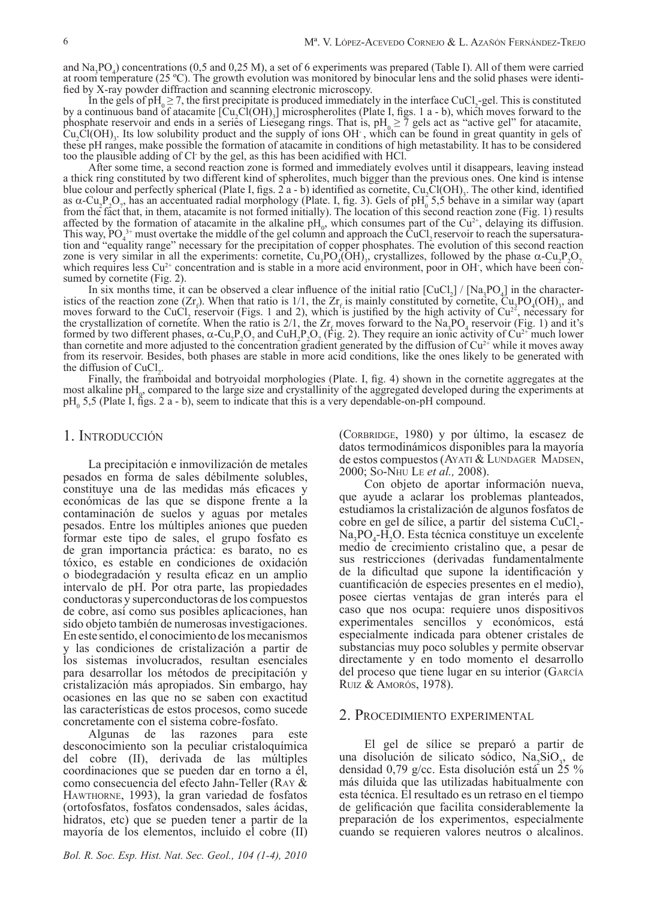and  $\text{Na}_3\text{PO}_4$ ) concentrations (0,5 and 0,25 M), a set of 6 experiments was prepared (Table I). All of them were carried at room temperature (25 ºC). The growth evolution was monitored by binocular lens and the solid phases were identified by X-ray powder diffraction and scanning electronic microscopy.

In the gels of  $pH_0 \ge 7$ , the first precipitate is produced immediately in the interface CuCl<sub>2</sub>-gel. This is constituted by a continuous band of atacamite  $\text{[Cu}_2\text{Cl}(\text{OH})_3\text{]}$  microspherolites (Plate I, figs. 1 a - b), which moves forward to the phosphate reservoir and ends in a series of Liesegang rings. That is,  $pH_0 \ge 7$  gels act as "active gel" for atacamite,  $Cu<sub>2</sub>Cl(OH)<sub>3</sub>$ . Its low solubility product and the supply of ions  $OH<sub>2</sub>$ , which can be found in great quantity in gels of these pH ranges, make possible the formation of atacamite in conditions of high metastability. It has to be considered too the plausible adding of Cl- by the gel, as this has been acidified with HCl.

After some time, a second reaction zone is formed and immediately evolves until it disappears, leaving instead a thick ring constituted by two different kind of spherolites, much bigger than the previous ones. One kind is intense blue colour and perfectly spherical (Plate I, figs. 2  $a - b$ ) identified as cornetite,  $Cu_2Cl(OH)$ . The other kind, identified as  $\alpha$ -Cu<sub>2</sub>P<sub>2</sub>O<sub>7</sub>, has an accentuated radial morphology (Plate. I, fig. 3). Gels of pH<sub>0</sub> 5,5 behave in a similar way (apart from the fact that, in them, atacamite is not formed initially). The location of this second reaction zone (Fig. 1) results affected by the formation of atacamite in the alkaline  $pH_0$ , which consumes part of the Cu<sup>2+</sup>, delaying its diffusion. This way,  $PO_4^{3+}$  must overtake the middle of the gel column and approach the CuCl<sub>2</sub> reservoir to reach the supersaturation and "equality range" necessary for the precipitation of copper phosphates. The evolution of this second reaction zone is very similar in all the experiments: cornetite, Cu<sub>3</sub>PO<sub>4</sub>(OH)<sub>3</sub>, crystallizes, followed by the phase  $\alpha$ -Cu<sub>2</sub>P<sub>2</sub>O<sub>7</sub>, which requires less Cu<sup>2+</sup> concentration and is stable in a more acid environment, poor in which requires less  $Cu^{2+}$  concentration and is stable in a more acid environment, poor in OH, which have been consumed by cornetite (Fig. 2).

In six months time, it can be observed a clear influence of the initial ratio  $\left[\text{CuCl}_{2}\right] / \left[\text{Na}_{3}\text{PO}_{4}\right]$  in the characteristics of the reaction zone  $(Zr<sub>i</sub>)$ . When that ratio is 1/1, the  $Zr<sub>f</sub>$  is mainly constituted by cornetite,  $Cu<sub>i</sub>PO<sub>4</sub>(OH)<sub>3</sub>$ , and moves forward to the CuCl<sub>2</sub> reservoir (Figs. 1 and 2), which is justified by the high activity of  $Cu^{2+}$ , necessary for the crystallization of cornetite. When the ratio is  $2/1$ , the  $Zr<sub>f</sub>$  moves forward to the Na<sub>3</sub>PO<sub>4</sub> reservoir (Fig. 1) and it's formed by two different phases,  $\alpha$ -Cu<sub>2</sub>P<sub>2</sub>O<sub>7</sub> and CuH<sub>2</sub>P<sub>2</sub>O<sub>7</sub> (Fig. 2). They require an ionic activity of Cu<sup>2+</sup> much lower than cornetite and more adjusted to the concentration gradient generated by the diffusion of  $Cu^{2+}$  while it moves away from its reservoir. Besides, both phases are stable in more acid conditions, like the ones likely to be generated with the diffusion of  $CuCl<sub>2</sub>$ .

Finally, the framboidal and botryoidal morphologies (Plate. I, fig. 4) shown in the cornetite aggregates at the most alkaline  $pH_p$ , compared to the large size and crystallinity of the aggregated developed during the experiments at  $pH_0$  5,5 (Plate I, figs. 2 a - b), seem to indicate that this is a very dependable-on-pH compound.

### 1. Introducción

La precipitación e inmovilización de metales pesados en forma de sales débilmente solubles, constituye una de las medidas más eficaces y económicas de las que se dispone frente a la contaminación de suelos y aguas por metales pesados. Entre los múltiples aniones que pueden formar este tipo de sales, el grupo fosfato es de gran importancia práctica: es barato, no es tóxico, es estable en condiciones de oxidación o biodegradación y resulta eficaz en un amplio intervalo de pH. Por otra parte, las propiedades conductoras y superconductoras de los compuestos de cobre, así como sus posibles aplicaciones, han sido objeto también de numerosas investigaciones. En este sentido, el conocimiento de los mecanismos y las condiciones de cristalización a partir de los sistemas involucrados, resultan esenciales para desarrollar los métodos de precipitación y cristalización más apropiados. Sin embargo, hay ocasiones en las que no se saben con exactitud las características de estos procesos, como sucede concretamente con el sistema cobre-fosfato.

Algunas de las razones para este desconocimiento son la peculiar cristaloquímica del cobre (II), derivada de las múltiples coordinaciones que se pueden dar en torno a él, como consecuencia del efecto Jahn-Teller (Ray & Hawthorne, 1993), la gran variedad de fosfatos (ortofosfatos, fosfatos condensados, sales ácidas, hidratos, etc) que se pueden tener a partir de la mayoría de los elementos, incluido el cobre (II)

*Bol. R. Soc. Esp. Hist. Nat. Sec. Geol., 104 (1-4), 2010*

(Corbridge, 1980) y por último, la escasez de datos termodinámicos disponibles para la mayoría de estos compuestos (Ayati & Lundager Madsen, 2000; So-Nhu Le *et al.,* 2008).

Con objeto de aportar información nueva, que ayude a aclarar los problemas planteados, estudiamos la cristalización de algunos fosfatos de cobre en gel de sílice, a partir del sistema CuCl<sub>2</sub>-Na<sub>3</sub>PO<sub>4</sub>-H<sub>2</sub>O. Esta técnica constituye un excelente medio de crecimiento cristalino que, a pesar de sus restricciones (derivadas fundamentalmente de la dificultad que supone la identificación y cuantificación de especies presentes en el medio), posee ciertas ventajas de gran interés para el caso que nos ocupa: requiere unos dispositivos experimentales sencillos y económicos, está especialmente indicada para obtener cristales de substancias muy poco solubles y permite observar directamente y en todo momento el desarrollo del proceso que tiene lugar en su interior (García Ruiz & Amorós, 1978).

#### 2. Procedimiento experimental

El gel de sílice se preparó a partir de una disolución de silicato sódico,  $Na<sub>2</sub>SiO<sub>3</sub>$ , de densidad 0,79 g/cc. Esta disolución está un 25 % más diluida que las utilizadas habitualmente con esta técnica. El resultado es un retraso en el tiempo de gelificación que facilita considerablemente la preparación de los experimentos, especialmente cuando se requieren valores neutros o alcalinos.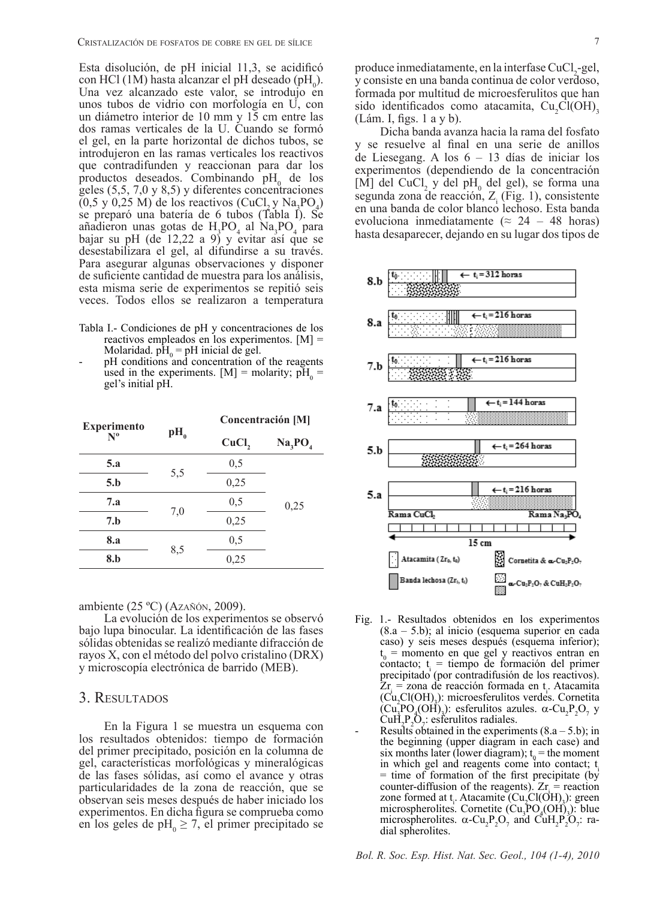Esta disolución, de pH inicial 11,3, se acidificó con HCl (1M) hasta alcanzar el pH deseado (pH<sub>0</sub>). Una vez alcanzado este valor, se introdujo en unos tubos de vidrio con morfología en U, con un diámetro interior de 10 mm y 15 cm entre las dos ramas verticales de la U. Cuando se formó el gel, en la parte horizontal de dichos tubos, se introdujeron en las ramas verticales los reactivos que contradifunden y reaccionan para dar los productos deseados. Combinando  $pH_0$  de los geles (5,5, 7,0 y 8,5) y diferentes concentraciones  $(0.5 \text{ y } 0.25 \text{ M})$  de los reactivos  $(CuCl<sub>2</sub> y Na<sub>3</sub>PO<sub>4</sub>)$ se preparó una batería de 6 tubos (Tabla I). Se añadieron unas gotas de  $H_3PO_4$  al Na<sub>3</sub>PO<sub>4</sub> para bajar su pH (de 12,22 a 9) y evitar así que se desestabilizara el gel, al difundirse a su través. Para asegurar algunas observaciones y disponer de suficiente cantidad de muestra para los análisis, esta misma serie de experimentos se repitió seis veces. Todos ellos se realizaron a temperatura

- Tabla I.- Condiciones de pH y concentraciones de los reactivos empleados en los experimentos. [M] = Molaridad.  $pH_0 = pH$  inicial de gel.
- pH conditions and concentration of the reagents used in the experiments. [M] = molarity;  $pH_0$  = gel's initial pH.

| <b>Experimento</b><br>$N^{\rm o}$ | $pH_{0}$ | Concentración [M] |                                 |
|-----------------------------------|----------|-------------------|---------------------------------|
|                                   |          | CuCl,             | Na <sub>3</sub> PO <sub>4</sub> |
| 5.a                               | 5,5      | 0,5               | 0,25                            |
| 5.b                               |          | 0,25              |                                 |
| 7.a                               | 7,0      | 0,5               |                                 |
| 7.b                               |          | 0,25              |                                 |
| <b>8.a</b>                        | 8,5      | 0,5               |                                 |
| 8.b                               |          | 0,25              |                                 |

ambiente (25 ºC) (Azañón, 2009).

La evolución de los experimentos se observó bajo lupa binocular. La identificación de las fases sólidas obtenidas se realizó mediante difracción de rayos X, con el método del polvo cristalino (DRX) y microscopía electrónica de barrido (MEB).

#### 3. Resultados

En la Figura 1 se muestra un esquema con los resultados obtenidos: tiempo de formación del primer precipitado, posición en la columna de gel, características morfológicas y mineralógicas de las fases sólidas, así como el avance y otras particularidades de la zona de reacción, que se observan seis meses después de haber iniciado los experimentos. En dicha figura se comprueba como en los geles de p $H_0 \ge 7$ , el primer precipitado se produce inmediatamente, en la interfase CuCl<sub>2</sub>-gel, y consiste en una banda continua de color verdoso, formada por multitud de microesferulitos que han sido identificados como atacamita,  $Cu_2Cl(OH)_3$ (Lám. I, figs. 1 a y b).

Dicha banda avanza hacia la rama del fosfato y se resuelve al final en una serie de anillos de Liesegang. A los 6 – 13 días de iniciar los experimentos (dependiendo de la concentración [M] del CuCl<sub>2</sub> y del pH<sub>0</sub> del gel), se forma una segunda zona de reacción,  $Z_i$  (Fig. 1), consistente en una banda de color blanco lechoso. Esta banda evoluciona inmediatamente ( $\approx$  24 – 48 horas) hasta desaparecer, dejando en su lugar dos tipos de



- Fig. 1.- Resultados obtenidos en los experimentos (8.a – 5.b); al inicio (esquema superior en cada caso) y seis meses después (esquema inferior);  $t_0$  = momento en que gel y reactivos entran en contacto;  $t_i$  = tiempo de formación del primer precipitado (por contradifusión de los reactivos).  $Zr_i = z$ ona de reacción formada en t<sub>i</sub>. Atacamita (Cu2 Cl(OH)3 ): microesferulitos verdes. Cornetita  $\left(\text{Cu}_1^{\text{P}}\text{O}_4(\text{OH})_3\right)$ : esferulitos azules.  $\alpha$ -Cu<sub>2</sub>P<sub>2</sub>O<sub>7</sub> y  $\text{CuH}_2\text{P}_2\text{O}_7$
- Results obtained in the experiments  $(8.a 5.b)$ ; in the beginning (upper diagram in each case) and six months later (lower diagram);  $t_0$  = the moment in which gel and reagents come into contact;  $t_i$ = time of formation of the first precipitate (by counter-diffusion of the reagents).  $Zr =$  reaction zone formed at  $t_i$ . Atacamite  $(Cu_iCl(OH)_3)$ : green microspherolites. Cornetite  $(Cu_3PO_4(OH)_3)$ : blue microspherolites.  $\alpha$ -Cu<sub>2</sub>P<sub>2</sub>O<sub>7</sub> and CuH<sub>2</sub>P<sub>2</sub>O<sub>7</sub>: radial spherolites.

*Bol. R. Soc. Esp. Hist. Nat. Sec. Geol., 104 (1-4), 2010*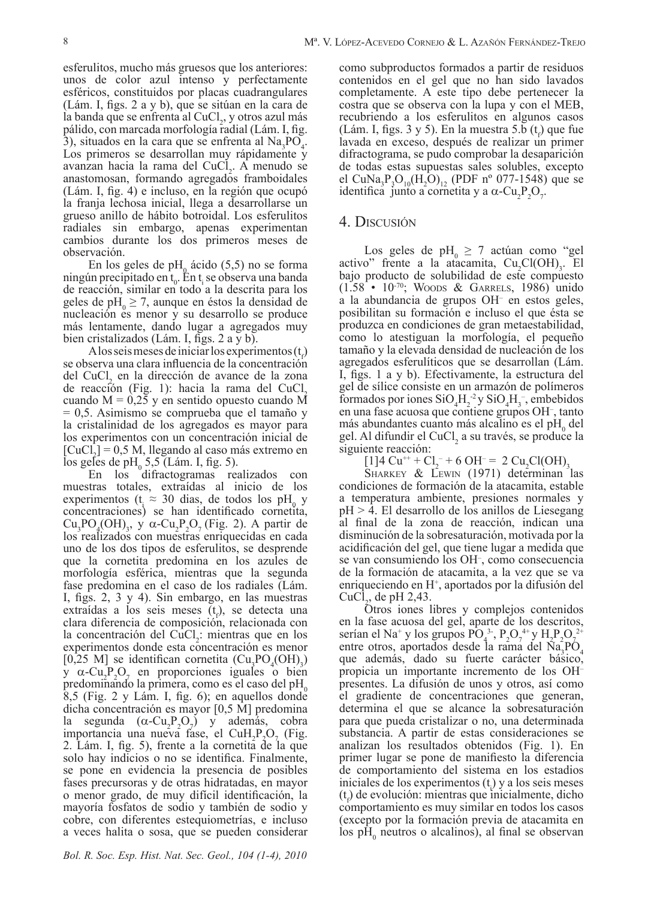esferulitos, mucho más gruesos que los anteriores: unos de color azul intenso y perfectamente esféricos, constituidos por placas cuadrangulares (Lám. I, figs. 2 a y b), que se sitúan en la cara de la banda que se enfrenta al CuCl<sub>2</sub>, y otros azul más pálido, con marcada morfología radial (Lám. I, fig.  $3$ ), situados en la cara que se enfrenta al Na<sub>3</sub>PO<sub>4</sub>. Los primeros se desarrollan muy rápidamente y avanzan hacia la rama del CuCl<sub>2</sub>. A menudo se anastomosan, formando agregados framboidales (Lám. I, fig. 4) e incluso, en la región que ocupó la franja lechosa inicial, llega a desarrollarse un grueso anillo de hábito botroidal. Los esferulitos radiales sin embargo, apenas experimentan cambios durante los dos primeros meses de observación.

En los geles de pH<sub>0</sub> ácido (5,5) no se forma ningún precipitado en  $t_0$ . En  $t_i$  se observa una banda de reacción, similar en todo a la descrita para los geles de  $pH_0 \ge 7$ , aunque en éstos la densidad de nucleación es menor y su desarrollo se produce más lentamente, dando lugar a agregados muy bien cristalizados (Lám. I, figs. 2 a y b).

A los seis meses de iniciar los experimentos  $(t<sub>f</sub>)$ se observa una clara influencia de la concentración del CuCl<sub>2</sub> en la dirección de avance de la zona de reacción (Fig. 1): hacia la rama del CuCl<sub>2</sub> cuando  $M = 0.25$  y en sentido opuesto cuando M = 0,5. Asimismo se comprueba que el tamaño y la cristalinidad de los agregados es mayor para los experimentos con un concentración inicial de  $[CuCl<sub>2</sub>] = 0.5 M$ , llegando al caso más extremo en los geles de p $H_0$  5,5 (Lám. I, fig. 5).

En los difractogramas realizados con muestras totales, extraídas al inicio de los experimentos ( $t_i \approx 30$  dias, de todos los pH<sub>0</sub> y concentraciones) se han identificado cornetita,  $Cu_3PO_4(OH)_3$ , y  $\alpha$ -Cu<sub>2</sub>P<sub>2</sub>O<sub>7</sub> (Fig. 2). A partir de los realizados con muestras enriquecidas en cada uno de los dos tipos de esferulitos, se desprende que la cornetita predomina en los azules de morfología esférica, mientras que la segunda fase predomina en el caso de los radiales (Lám. I, figs. 2, 3 y 4). Sin embargo, en las muestras extraídas a los seis meses  $(t<sub>f</sub>)$ , se detecta una clara diferencia de composición, relacionada con la concentración del CuCl<sub>2</sub>: mientras que en los experimentos donde esta concentración es menor [0,25 M] se identifican cornetita  $(Cu_3PO_4(OH)_3)$ y  $\alpha$ -Cu<sub>2</sub>P<sub>2</sub>O<sub>7</sub> en proporciones iguales o bien predominando la primera, como es el caso del  $pH_0$ 8,5 (Fig. 2 y Lám. I, fig. 6); en aquellos donde dicha concentración es mayor [0,5 M] predomina la segunda  $(\alpha$ -Cu<sub>2</sub>P<sub>2</sub>O<sub>2</sub>) y además, cobra importancia una nueva fase, el CuH<sub>2</sub>P<sub>2</sub>O<sub>7</sub> (Fig. 2. Lám. I, fig. 5), frente a la cornetita de la que solo hay indicios o no se identifica. Finalmente, se pone en evidencia la presencia de posibles fases precursoras y de otras hidratadas, en mayor o menor grado, de muy difícil identificación, la mayoría fosfatos de sodio y también de sodio y cobre, con diferentes estequiometrías, e incluso a veces halita o sosa, que se pueden considerar

como subproductos formados a partir de residuos contenidos en el gel que no han sido lavados completamente. A este tipo debe pertenecer la costra que se observa con la lupa y con el MEB, recubriendo a los esferulitos en algunos casos  $(Lám. I, figs. 3 y 5)$ . En la muestra 5.b  $(t_f)$  que fue lavada en exceso, después de realizar un primer difractograma, se pudo comprobar la desaparición de todas estas supuestas sales solubles, excepto el CuNa<sub>3</sub>P<sub>3</sub>O<sub>10</sub>(H<sub>2</sub>O)<sub>12</sub> (PDF nº 077-1548) que se identifica junto a cornetita y a  $\alpha$ -Cu<sub>2</sub>P<sub>2</sub>O<sub>7</sub>.

# 4. Discusión

Los geles de pH<sub>0</sub>  $\geq$  7 actúan como "gel activo" frente a la atacamita,  $Cu_2Cl(OH)_3$ . El bajo producto de solubilidad de este compuesto (1.58 • 10-70; Woods & Garrels, 1986) unido a la abundancia de grupos OH– en estos geles, posibilitan su formación e incluso el que ésta se produzca en condiciones de gran metaestabilidad, como lo atestiguan la morfología, el pequeño tamaño y la elevada densidad de nucleación de los agregados esferulíticos que se desarrollan (Lám. I, figs. 1 a y b). Efectivamente, la estructura del gel de sílice consiste en un armazón de polímeros formados por iones  $SiO_4H_2^2$  y  $SiO_4H_3^-$ , embebidos en una fase acuosa que contiene grupos OH– , tanto más abundantes cuanto más alcalino es el  $pH_0$  del gel. Al difundir el CuCl<sub>2</sub> a su través, se produce la siguiente reacción:

 $[1]$ 4 Cu<sup>++</sup> + Cl<sub>2</sub><sup>-</sup> + 6 OH<sup>-</sup> = 2 Cu<sub>2</sub>Cl(OH)<sub>3</sub>

SHARKEY & LEWIN (1971) determinan las condiciones de formación de la atacamita, estable a temperatura ambiente, presiones normales y pH > 4. El desarrollo de los anillos de Liesegang al final de la zona de reacción, indican una disminución de la sobresaturación, motivada por la acidificación del gel, que tiene lugar a medida que se van consumiendo los OH– , como consecuencia de la formación de atacamita, a la vez que se va enriqueciendo en H<sup>+</sup>, aportados por la difusión del  $CuCl<sub>2</sub>$ , de pH 2,43.

Otros iones libres y complejos contenidos en la fase acuosa del gel, aparte de los descritos, serían el Na<sup>+</sup> y los grupos PO<sub>4</sub><sup>3</sup>, P<sub>2</sub>O<sub>7</sub><sup>4+</sup> y H<sub>2</sub>P<sub>2</sub>O<sub>7</sub><sup>2+</sup> entre otros, aportados desde la rama del Na<sub>3</sub>PO<sub>4</sub> que además, dado su fuerte carácter básico, propicia un importante incremento de los OH– presentes. La difusión de unos y otros, así como el gradiente de concentraciones que generan, determina el que se alcance la sobresaturación para que pueda cristalizar o no, una determinada substancia. A partir de estas consideraciones se analizan los resultados obtenidos (Fig. 1). En primer lugar se pone de manifiesto la diferencia de comportamiento del sistema en los estadios iniciales de los experimentos  $(t_i)$  y a los seis meses  $(t<sub>f</sub>)$  de evolución: mientras que inicialmente, dicho comportamiento es muy similar en todos los casos (excepto por la formación previa de atacamita en los  $pH_0$  neutros o alcalinos), al final se observan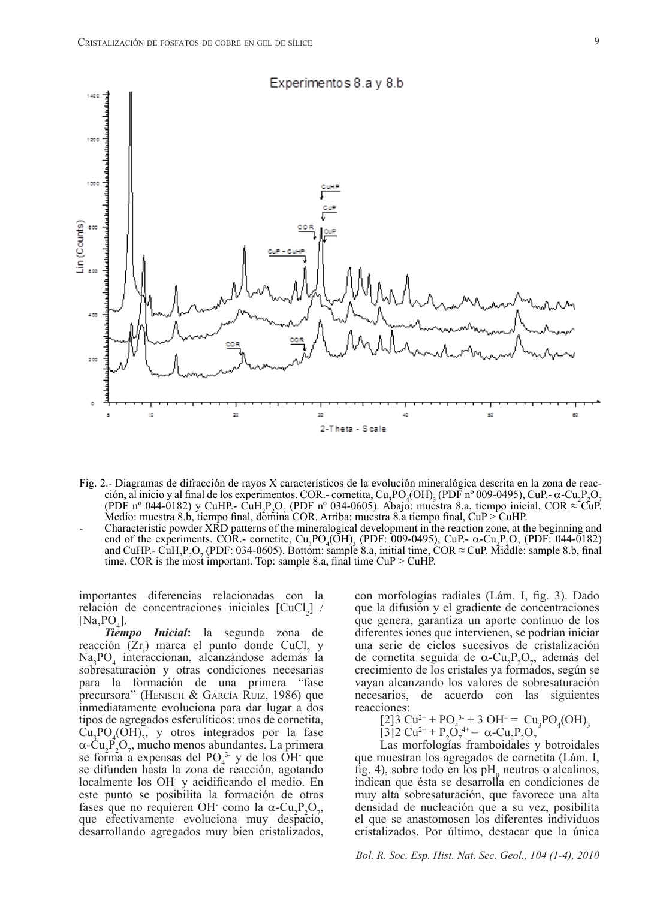

- Fig. 2.- Diagramas de difracción de rayos X característicos de la evolución mineralógica descrita en la zona de reacción, al inicio y al final de los experimentos. COR.- cornetita, Cu<sub>3</sub>PO<sub>4</sub>(OH)<sub>3</sub> (PDF nº 009-0495), CuP.-  $\alpha$ -Cu<sub>2</sub>P<sub>2</sub>O<sub>7</sub> (PDF nº 044-0182) y CuHP.- CuH<sub>2</sub>P<sub>2</sub>O<sub>7</sub> (PDF nº 034-0605). Abajo: muestra 8.a, tiempo inicial, COR ≈ CuP. Medio: muestra 8.b, tiempo final, domina COR. Arriba: muestra 8.a tiempo final, CuP > CuHP.
- Characteristic powder XRD patterns of the mineralogical development in the reaction zone, at the beginning and end of the experiments. COR.- cornetite,  $Cu_3PO_4(OH)$ <sub>3</sub> (PDF: 009-0495), CuP.-  $\alpha$ -Cu<sub>2</sub>P<sub>2</sub>O<sub>7</sub> (PDF: 044-0182) and CuHP.- CuH<sub>2</sub>P<sub>2</sub>O<sub>7</sub> (PDF: 034-0605). Bottom: sample 8.a, initial time, COR  $\approx$  CuP. Middle: sample 8.b, final time, COR is the most important. Top: sample 8.a, final time CuP > CuHP.

importantes diferencias relacionadas con la relación de concentraciones iniciales  $\text{[CuCl}_2$ ] /  $[Na_3PO_4].$ 

*Tiempo Inicial***:** la segunda zona de reacción  $(Zr_i)$  marca el punto donde CuCl<sub>2</sub> y Na3 PO4 interaccionan, alcanzándose además la sobresaturación y otras condiciones necesarias para la formación de una primera "fase precursora" (Henisch & García Ruiz, 1986) que inmediatamente evoluciona para dar lugar a dos tipos de agregados esferulíticos: unos de cornetita,  $Cu<sub>3</sub>PO<sub>4</sub>(OH)<sub>3</sub>$ , y otros integrados por la fase  $\alpha$ -Cu<sub>2</sub>P<sub>2</sub>O<sub>7</sub>, mucho menos abundantes. La primera se forma a expensas del  $PO<sub>4</sub><sup>3</sup>$  y de los  $OH$  que se difunden hasta la zona de reacción, agotando localmente los OH- y acidificando el medio. En este punto se posibilita la formación de otras fases que no requieren OH como la  $\alpha$ -Cu<sub>2</sub>P<sub>2</sub>O<sub>7</sub>, que efectivamente evoluciona muy despacio, desarrollando agregados muy bien cristalizados,

con morfologías radiales (Lám. I, fig. 3). Dado que la difusión y el gradiente de concentraciones que genera, garantiza un aporte continuo de los diferentes iones que intervienen, se podrían iniciar una serie de ciclos sucesivos de cristalización de cornetita seguida de  $\alpha$ -Cu<sub>2</sub>P<sub>2</sub>O<sub>7</sub>, además del crecimiento de los cristales ya formados, según se vayan alcanzando los valores de sobresaturación necesarios, de acuerdo con las siguientes reacciones:

[2]3 Cu2+ + PO4 3- + 3 OH– = Cu3 PO4 (OH)3

[3]2 Cu<sup>2+</sup> + P<sub>2</sub>O<sub>7</sub><sup>4+</sup> = 
$$
\alpha
$$
-Cu<sub>2</sub>P<sub>2</sub>O<sub>7</sub><sup>2</sup>

Las morfologías framboidales y botroidales que muestran los agregados de cornetita (Lám. I, fig. 4), sobre todo en los  $pH$ <sub>0</sub> neutros o alcalinos, indican que ésta se desarrolla en condiciones de muy alta sobresaturación, que favorece una alta densidad de nucleación que a su vez, posibilita el que se anastomosen los diferentes individuos cristalizados. Por último, destacar que la única

9

*Bol. R. Soc. Esp. Hist. Nat. Sec. Geol., 104 (1-4), 2010*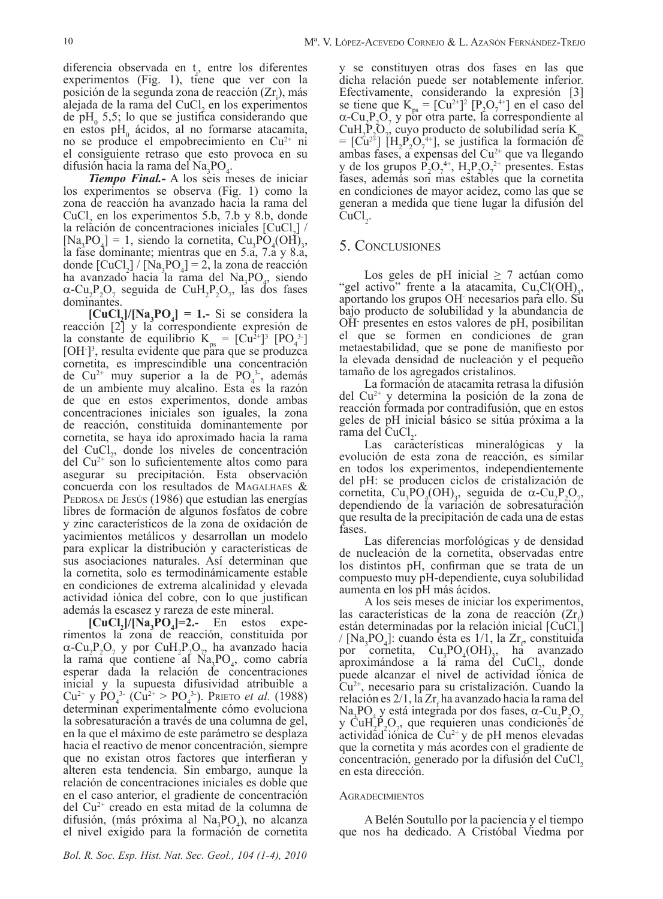diferencia observada en  $t_i$ , entre los diferentes experimentos (Fig. 1), tiene que ver con la posición de la segunda zona de reacción  $(Zr_i)$ , más alejada de la rama del CuCl<sub>2</sub> en los experimentos de  $pH_0$  5,5; lo que se justifica considerando que en estos pH<sub>0</sub> ácidos, al no formarse atacamita, no se produce el empobrecimiento en  $Cu^{2+}$  ni el consiguiente retraso que esto provoca en su difusión hacia la rama del Na<sub>3</sub>PO<sub>4</sub>.

*Tiempo Final.-* A los seis meses de iniciar los experimentos se observa (Fig. 1) como la zona de reacción ha avanzado hacia la rama del  $CuCl<sub>2</sub>$  en los experimentos 5.b, 7.b y 8.b, donde la relación de concentraciones iniciales  $\left[\text{CuCl}_{2}\right]$  /  $[Na, PO<sub>4</sub>] = 1$ , siendo la cornetita,  $Cu<sub>3</sub>PO<sub>4</sub>(OH)<sub>3</sub>$ , la fase dominante; mientras que en 5.a, 7.a y 8.a, donde  $\text{[CuCl}_2\text{]} / \text{[Na}_3\text{PO}_4\text{]} = 2$ , la zona de reacción ha avanzado hacia la rama del  $\text{Na}_3\text{PO}_4$ , siendo  $\alpha$ -Cu<sub>2</sub>P<sub>2</sub>O<sub>7</sub> seguida de CuH<sub>2</sub>P<sub>2</sub>O<sub>7</sub>, las dos fases dominantes.

 $[CuCl<sub>2</sub>]/[Na<sub>3</sub>PO<sub>4</sub>] = 1.$  Si se considera la reacción [2] y la correspondiente expresión de la constante de equilibrio  $K_{ps} = [Cu^{2+}]^{3} [PO_{4}^{3}]$  $[OH]<sup>3</sup>$ , resulta evidente que para que se produzca cornetita, es imprescindible una concentración de  $Cu^{2+}$  muy superior a la de  $PO_4^{3-}$ , además de un ambiente muy alcalino. Esta es la razón de que en estos experimentos, donde ambas concentraciones iniciales son iguales, la zona de reacción, constituida dominantemente por cornetita, se haya ido aproximado hacia la rama  $\text{del}$  CuCl<sub>2</sub>, donde los niveles de concentración  $del Cu<sup>2+</sup>$  son lo suficientemente altos como para asegurar su precipitación. Esta observación concuerda con los resultados de Magalhaes & PEDROSA DE JESÚS (1986) que estudian las energías libres de formación de algunos fosfatos de cobre y zinc característicos de la zona de oxidación de yacimientos metálicos y desarrollan un modelo para explicar la distribución y características de sus asociaciones naturales. Así determinan que la cornetita, solo es termodinámicamente estable en condiciones de extrema alcalinidad y elevada actividad iónica del cobre, con lo que justifican además la escasez y rareza de este mineral.

 $\left[\text{CuCl}_2\right] / \left[\text{Na}_3\text{PO}_4\right] = 2.$  En estos experimentos la zona de reacción, constituida por  $\alpha$ -Cu<sub>2</sub>P<sub>2</sub>O<sub>7</sub> y por CuH<sub>2</sub>P<sub>2</sub>O<sub>7</sub>, ha avanzado hacia la rama que contiene al  $\text{Na}_3\text{PO}_4$ , como cabría esperar dada la relación de concentraciones inicial y la supuesta difusividad atribuible a  $Cu^{2+}$  y PO<sub>4</sub><sup>3</sup> ( $Cu^{2+} > PO_4^{3}$ ). Prieto *et al.* (1988) determinan experimentalmente cómo evoluciona la sobresaturación a través de una columna de gel, en la que el máximo de este parámetro se desplaza hacia el reactivo de menor concentración, siempre que no existan otros factores que interfieran y alteren esta tendencia. Sin embargo, aunque la relación de concentraciones iniciales es doble que en el caso anterior, el gradiente de concentración del Cu2+ creado en esta mitad de la columna de difusión, (más próxima al Na<sub>3</sub>PO<sub>4</sub>), no alcanza el nivel exigido para la formación de cornetita

y se constituyen otras dos fases en las que dicha relación puede ser notablemente inferior. Efectivamente, considerando la expresión [3] se tiene que  $K_{ps} = [Cu^{2+}]^2 [P_2O_7^{4+}]$  en el caso del  $\alpha$ -Cu<sub>2</sub>P<sub>2</sub>O<sub>7</sub> y por otra parte, la correspondiente al  $\text{CuH}_2\text{P}_2\text{O}_7$ CuH, P, O, cuyo producto de solubilidad sería K<sub>ps</sub><br>= [Cu<sup>2+</sup>] [H<sub>2</sub>P<sub>2</sub>O<sub>7</sub><sup>4+</sup>], se justifica la formación de ambas fases, a expensas del  $Cu^{2+}$  que va llegando y de los grupos  $P_2O_7^{4+}$ ,  $H_2P_2O_7^{2+}$  presentes. Estas fases, además son mas estables que la cornetita en condiciones de mayor acidez, como las que se generan a medida que tiene lugar la difusión del  $CuCl<sub>2</sub>$ .

# 5. Conclusiones

Los geles de pH inicial  $\geq$  7 actúan como "gel activo" frente a la atacamita,  $Cu_2Cl(OH)_3$ , aportando los grupos OH necesarios para ello. Su aportando los grupos OH necesarios para ello. Su bajo producto de solubilidad y la abundancia de OH- presentes en estos valores de pH, posibilitan el que se formen en condiciones de gran metaestabilidad, que se pone de manifiesto por la elevada densidad de nucleación y el pequeño tamaño de los agregados cristalinos.

La formación de atacamita retrasa la difusión del Cu2+ y determina la posición de la zona de reacción formada por contradifusión, que en estos geles de pH inicial básico se sitúa próxima a la rama del CuCl<sub>2</sub>.

. Las características mineralógicas y la evolución de esta zona de reacción, es similar en todos los experimentos, independientemente del pH: se producen ciclos de cristalización de cornetita,  $\text{Cu}_3\text{PO}_4(\text{OH})_3$ , seguida de  $\alpha$ -Cu<sub>2</sub>P<sub>2</sub>O<sub>7</sub> , dependiendo de la variación de sobresaturación que resulta de la precipitación de cada una de estas fases.

Las diferencias morfológicas y de densidad de nucleación de la cornetita, observadas entre los distintos pH, confirman que se trata de un compuesto muy pH-dependiente, cuya solubilidad aumenta en los pH más ácidos.

A los seis meses de iniciar los experimentos, las características de la zona de reacción  $(Z_r)$ están determinadas por la relación inicial  $\text{[CuCl}_2$ ] /  $[Na_3PO_4]$ : cuando ésta es 1/1, la  $Zr_p$  constituida por cornetita,  $Cu_3PO_4(OH)_{3}$ , ha avanzado aproximándose a la rama del CuCl<sub>2</sub>, donde puede alcanzar el nivel de actividad iónica de Cu2+, necesario para su cristalización. Cuando la relación es  $2/1$ , la  $Zr_f$ ha avanzado hacia la rama del Na<sub>3</sub>PO<sub>4</sub> y está integrada por dos fases,  $\alpha$ -Cu<sub>2</sub>P<sub>2</sub>O<sub>7</sub> y  $\text{CuH}_2\text{P}_2\text{O}_7$ , que requieren unas condiciones de actividad iónica de  $Cu^{2+}y$  de pH menos elevadas que la cornetita y más acordes con el gradiente de concentración, generado por la difusión del CuCl<sub>2</sub> en esta dirección.

#### **AGRADECIMIENTOS**

A Belén Soutullo por la paciencia y el tiempo que nos ha dedicado. A Cristóbal Viedma por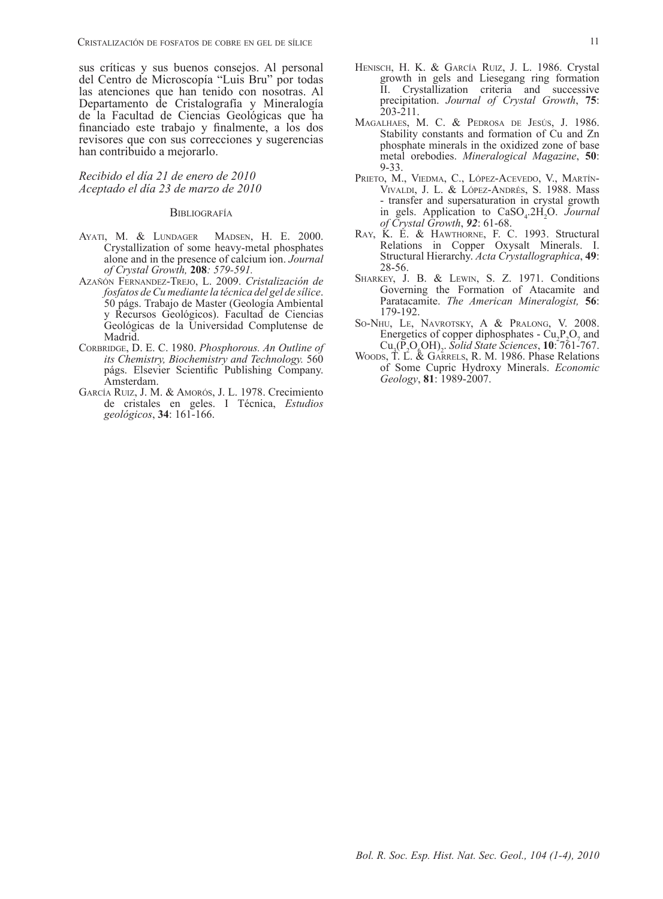sus críticas y sus buenos consejos. Al personal del Centro de Microscopía "Luis Bru" por todas las atenciones que han tenido con nosotras. Al Departamento de Cristalografía y Mineralogía de la Facultad de Ciencias Geológicas que ha financiado este trabajo y finalmente, a los dos revisores que con sus correcciones y sugerencias han contribuido a mejorarlo.

#### *Recibido el día 21 de enero de 2010 Aceptado el día 23 de marzo de 2010*

#### **BIBLIOGRAFÍA**

- Ayati, M. & Lundager Madsen, H. E. 2000. Crystallization of some heavy-metal phosphates alone and in the presence of calcium ion. *Journal of Crystal Growth,* **208***: 579-591.*
- Azañón Fernandez-Trejo, L. 2009. *Cristalización de fosfatos de Cu mediante la técnica del gel de sílice*. 50 págs. Trabajo de Master (Geología Ambiental y Recursos Geológicos). Facultad de Ciencias Geológicas de la Universidad Complutense de Madrid.
- CORBRIDGE, D. E. C. 1980. *Phosphorous. An Outline of its Chemistry, Biochemistry and Technology.* 560 págs. Elsevier Scientific Publishing Company. Amsterdam.
- García Ruiz, J. M. & Amorós, J. L. 1978. Crecimiento de cristales en geles. I Técnica, *Estudios geológicos*, **34**: 161-166.
- HENISCH, H. K. & GARCÍA RUIZ, J. L. 1986. Crystal growth in gels and Liesegang ring formation II. Crystallization criteria and successive precipitation. *Journal of Crystal Growth*, **75**: 203-211.
- Magalhaes, M. C. & Pedrosa de Jesús, J. 1986. Stability constants and formation of Cu and Zn phosphate minerals in the oxidized zone of base metal orebodies. *Mineralogical Magazine*, **50**: 9-33.
- Prieto, M., Viedma, C., López-Acevedo, V., Martín-Vivaldi, J. L. & López-Andrés, S. 1988. Mass - transfer and supersaturation in crystal growth in gels. Application to CaSO<sub>4</sub>.2H<sub>2</sub>O. *Journal of Crystal Growth*, *92*: 61-68.
- Ray, K. E. & Hawthorne, F. C. 1993. Structural Relations in Copper Oxysalt Minerals. I. Structural Hierarchy. *Acta Crystallographica*, **49**: 28-56.
- SHARKEY, J. B. & LEWIN, S. Z. 1971. Conditions Governing the Formation of Atacamite and Paratacamite. *The American Mineralogist,* **56**: 179-192.
- So-Nhu, Le, Navrotsky, A & Pralong, V. 2008. Energetics of copper diphosphates -  $Cu_1P_2O_7$  and Cu3 (P2 O6 OH)2 . *Solid State Sciences*, **10**: 761-767.
- Woods, T. L. & Garrels, R. M. 1986. Phase Relations of Some Cupric Hydroxy Minerals. *Economic Geology*, **81**: 1989-2007.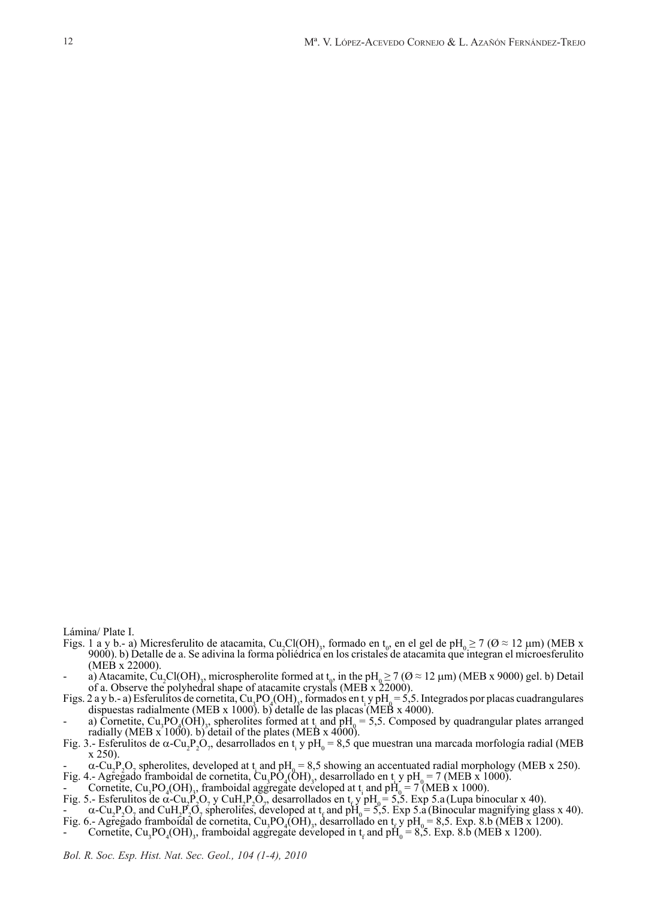Lámina/ Plate I.

- Figs. 1 a y b.- a) Micresferulito de atacamita, Cu<sub>2</sub>Cl(OH)<sub>3</sub>, formado en t<sub>0</sub>, en el gel de pH<sub>0</sub>  $\geq$  7 ( $\varnothing \approx$  12 µm) (MEB x 9000). b) Detalle de a. Se adivina la forma poliédrica en los cristales de atacamita que integran el microesferulito
- (MEB x 22000).<br>
a) Atacamite, Cu<sub>2</sub>Cl(OH)<sub>3</sub>, microspherolite formed at t<sub>0</sub>, in the pH<sub>0</sub>  $\geq$  7 ( $\emptyset$   $\approx$  12  $\mu$ m) (MEB x 9000) gel. b) Detail
- of a. Observe the polyhedral shape of atacamite crystals (MEB x 22000).<br>Figs. 2 a y b.- a) Esferulitos de cornetita, Cu<sub>3</sub>PO<sub>4</sub>(OH)<sub>3</sub>, formados en t<sub>1</sub> y pH<sub>0</sub> = 5,5. Integrados por placas cuadrangulares
- dispuestas radialmente (MEB x 1000). b) detalle de las placas (MEB x 4000).<br>
a) Cornetite, Cu<sub>3</sub>PO<sub>4</sub>(OH)<sub>3</sub>, spherolites formed at t<sub>i</sub> and pH<sub>0</sub> = 5,5. Composed by quadrangular plates arranged radially (MEB  $\vec{x}$  1000). b) detail of the plates (MEB  $\vec{x}$  4000).
- Fig. 3.- Esferulitos de  $\alpha$ -Cu<sub>2</sub>P<sub>2</sub>O<sub>7</sub>, desarrollados en t<sub>i</sub> y pH<sub>0</sub> = 8,5 que muestran una marcada morfología radial (MEB x 250).
- $\alpha$ -Cu<sub>2</sub>P<sub>2</sub>O<sub>7</sub> spherolites, developed at t<sub>i</sub> and pH<sub>0</sub> = 8,5 showing an accentuated radial morphology (MEB x 250). Fig. 4.- Agregado framboidal de cornetita, Cu<sub>3</sub>PO<sub>4</sub>(OH)<sub>3</sub>, desarrollado en t<sub>i</sub> y pH<sub>0</sub>= 7 (MEB x 1000).
- Cornetite,  $\text{Cu}_3\text{PO}_4(\text{OH})_3$ , framboidal aggregate developed at t<sub>i</sub> and  $\text{pH}_0 = 7 \text{ (MEB x 1000)}$ .
- Fig. 5.- Esferulitos de  $\alpha$ -Cu<sub>1</sub>P<sub>2</sub>O<sub>7</sub>, y CuH<sub>2</sub>P<sub>2</sub>O<sub>7</sub>, desarrollados en t<sub>e</sub>y pH<sub>0</sub> = 5,5. Exp 5.a (Lupa binocular x 40).
- $\alpha$ -Cu<sub>2</sub>P<sub>2</sub>O<sub>7</sub> and CuH<sub>2</sub>P<sub>2</sub>O<sub>7</sub> spherolites, developed at t<sub>t</sub> and pH<sub>0</sub> = 5,5. Exp 5.a (Binocular magnifying glass x 40).
- Fig. 6.- Agregado framboidal de cornetita, Cu<sub>3</sub>PO<sub>4</sub>(OH)<sub>3</sub>, desarrollado en t<sub>r</sub> y pH<sub>0</sub> = 8,5. Exp. 8.b (MEB x 1200).<br>- Cornetite, Cu<sub>3</sub>PO<sub>4</sub>(OH)<sub>3</sub>, framboidal aggregate developed in t<sub>r</sub> and pH<sub>0</sub> = 8,5. Exp. 8.b (ME